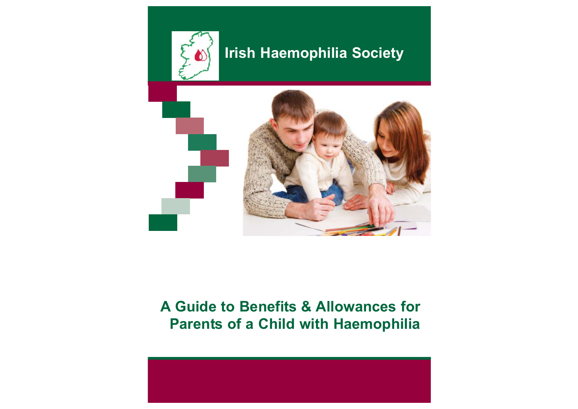

# **Irish Haemophilia Society**



# **A Guide to Benefits & Allowances for Parents of a Child with Haemophilia**

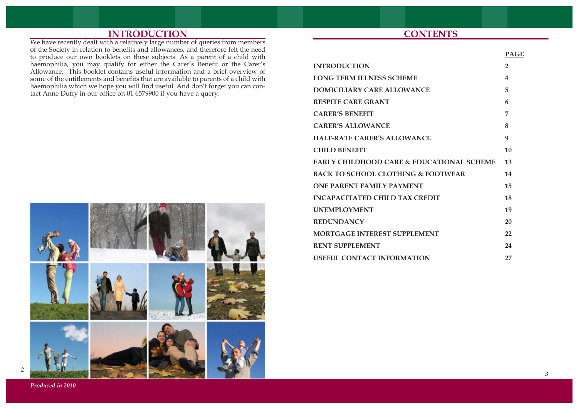# **INTRODUCTION**

We have recently dealt with a relatively large number of queries from members of the Society in relation to benefits and allowances, and therefore felt the need to produce our own booklets on these subjects. As a parent of a child with haemophilia, you may qualify for either the Carer's Benefit or the Carer's Allowance. This booklet contains useful information and a brief overview of some of the entitlements and benefits that are available to parents of a child with haemophilia which we hope you will find useful. And don't forget you can contact Anne Duffy in our office on 01 6579900 if you have a query.



# **CONTENTS**

|                                                      | <b>PAGE</b>    |
|------------------------------------------------------|----------------|
| <b>INTRODUCTION</b>                                  | $\overline{2}$ |
| <b>LONG TERM ILLNESS SCHEME</b>                      | 4              |
| DOMICILIARY CARE ALLOWANCE                           | 5              |
| <b>RESPITE CARE GRANT</b>                            | 6              |
| <b>CARER'S BENEFIT</b>                               | 7              |
| <b>CARER'S ALLOWANCE</b>                             | 8              |
| <b>HALF-RATE CARER'S ALLOWANCE</b>                   | 9              |
| <b>CHILD BENEFIT</b>                                 | 10             |
| <b>EARLY CHILDHOOD CARE &amp; EDUCATIONAL SCHEME</b> | 13             |
| <b>BACK TO SCHOOL CLOTHING &amp; FOOTWEAR</b>        | 14             |
| <b>ONE PARENT FAMILY PAYMENT</b>                     | 15             |
| <b>INCAPACITATED CHILD TAX CREDIT</b>                | 18             |
| <b>UNEMPLOYMENT</b>                                  | 19             |
| <b>REDUNDANCY</b>                                    | 20             |
| <b>MORTGAGE INTEREST SUPPLEMENT</b>                  | 22             |
| <b>RENT SUPPLEMENT</b>                               | 24             |
| <b>USEFUL CONTACT INFORMATION</b>                    | 27             |

*Produced in 2010*

*2*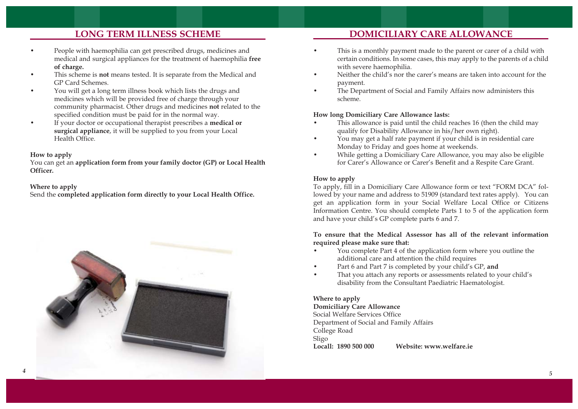# **LONG TERM ILLNESS SCHEME**

- • People with haemophilia can get prescribed drugs, medicines and medical and surgical appliances for the treatment of haemophilia **free of charge.**
- • This scheme is **not** means tested. It is separate from the Medical and GP Card Schemes.
- • You will get a long term illness book which lists the drugs and medicines which will be provided free of charge through your community pharmacist. Other drugs and medicines **not** related to the specified condition must be paid for in the normal way.
- • If your doctor or occupational therapist prescribes a **medical or surgical appliance**, it will be supplied to you from your Local Health Office.

## **How to apply**

You can get an **application form from your family doctor (GP) or Local Health Officer.** 

## **Where to apply**

Send the **completed application form directly to your Local Health Office.**



# **DOMICILIARY CARE ALLOWANCE**

- • This is a monthly payment made to the parent or carer of a child with certain conditions. In some cases, this may apply to the parents of a child with severe haemophilia.
- • Neither the child's nor the carer's means are taken into account for the payment.
- • The Department of Social and Family Affairs now administers this scheme.

# **How long Domiciliary Care Allowance lasts:**

- • This allowance is paid until the child reaches 16 (then the child may qualify for Disability Allowance in his/her own right).
- • You may get a half rate payment if your child is in residential care Monday to Friday and goes home at weekends.
- • While getting a Domiciliary Care Allowance, you may also be eligible for Carer's Allowance or Carer's Benefit and a Respite Care Grant.

## **How to apply**

To apply, fill in a Domiciliary Care Allowance form or text "FORM DCA" followed by your name and address to 51909 (standard text rates apply). You can get an application form in your Social Welfare Local Office or Citizens Information Centre. You should complete Parts 1 to 5 of the application form and have your child's GP complete parts 6 and 7.

## **To ensure that the Medical Assessor has all of the relevant information required please make sure that:**

- • You complete Part 4 of the application form where you outline the additional care and attention the child requires
- •Part 6 and Part 7 is completed by your child's GP, **and**
- • That you attach any reports or assessments related to your child's disability from the Consultant Paediatric Haematologist.

#### **Where to apply Domiciliary Care Allowance** Social Welfare Services Office Department of Social and Family Affairs College Road Sligo **Locall: 1890 500 000 Website: www.welfare.ie**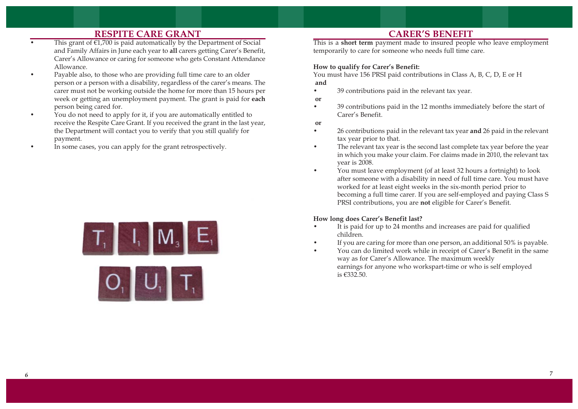# **RESPITE CARE GRANT**

- •This grant of  $\epsilon$ 1,700 is paid automatically by the Department of Social and Family Affairs in June each year to **all** carers getting Carer's Benefit, Carer's Allowance or caring for someone who gets Constant Attendance Allowance.
- • Payable also, to those who are providing full time care to an older person or a person with a disability, regardless of the carer's means. The carer must not be working outside the home for more than 15 hours per week or getting an unemployment payment. The grant is paid for **each** person being cared for.
- • You do not need to apply for it, if you are automatically entitled to receive the Respite Care Grant. If you received the grant in the last year, the Department will contact you to verify that you still qualify for payment.
- •In some cases, you can apply for the grant retrospectively.





# **CARER'S BENEFIT**

This is a **short term** payment made to insured people who leave employment temporarily to care for someone who needs full time care.

#### **How to qualify for Carer's Benefit:**

You must have 156 PRSI paid contributions in Class A, B, C, D, E or H **and**

- •39 contributions paid in the relevant tax year.
- **or**
- • 39 contributions paid in the 12 months immediately before the start of Carer's Benefit.
- **or**

•

- • 26 contributions paid in the relevant tax year **and** 26 paid in the relevant tax year prior to that.
- • The relevant tax year is the second last complete tax year before the year in which you make your claim. For claims made in 2010, the relevant tax year is 2008.
- • You must leave employment (of at least 32 hours a fortnight) to look after someone with a disability in need of full time care. You must have worked for at least eight weeks in the six-month period prior to becoming a full time carer. If you are self-employed and paying Class S PRSI contributions, you are **not** eligible for Carer's Benefit.

## **How long does Carer's Benefit last?**

- • It is paid for up to 24 months and increases are paid for qualified children.
- •If you are caring for more than one person, an additional 50% is payable.
- You can do limited work while in receipt of Carer's Benefit in the same way as for Carer's Allowance. The maximum weekly earnings for anyone who workspart-time or who is self employed is €332.50.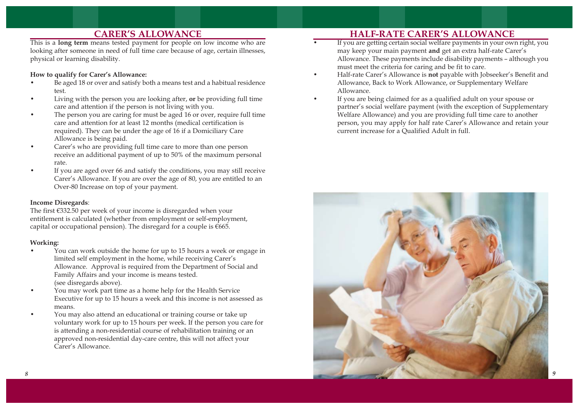# **CARER'S ALLOWANCE**

This is a **long term** means tested payment for people on low income who are looking after someone in need of full time care because of age, certain illnesses, physical or learning disability.

#### **How to qualify for Carer's Allowance:**

- • Be aged 18 or over and satisfy both a means test and a habitual residence test.
- • Living with the person you are looking after, **or** be providing full time care and attention if the person is not living with you.
- • The person you are caring for must be aged 16 or over, require full time care and attention for at least 12 months (medical certification is required). They can be under the age of 16 if a Domiciliary Care Allowance is being paid.
- • Carer's who are providing full time care to more than one person receive an additional payment of up to 50% of the maximum personal rate.
- • If you are aged over 66 and satisfy the conditions, you may still receive Carer's Allowance. If you are over the age of 80, you are entitled to an Over-80 Increase on top of your payment.

#### **Income Disregards**:

The first €332.50 per week of your income is disregarded when your entitlement is calculated (whether from employment or self-employment, capital or occupational pension). The disregard for a couple is  $€665$ .

#### **Working:**

- • You can work outside the home for up to 15 hours a week or engage in limited self employment in the home, while receiving Carer's Allowance. Approval is required from the Department of Social and Family Affairs and your income is means tested. (see disregards above).
- • You may work part time as a home help for the Health Service Executive for up to 15 hours a week and this income is not assessed as means.
- • You may also attend an educational or training course or take up voluntary work for up to 15 hours per week. If the person you care for is attending a non-residential course of rehabilitation training or an approved non-residential day-care centre, this will not affect your Carer's Allowance.

# **HALF-RATE CARER'S ALLOWANCE**

- • If you are getting certain social welfare payments in your own right, you may keep your main payment **and** get an extra half-rate Carer's Allowance. These payments include disability payments – although you must meet the criteria for caring and be fit to care.
- • Half-rate Carer's Allowance is **not** payable with Jobseeker's Benefit and Allowance, Back to Work Allowance, or Supplementary Welfare Allowance.
- • If you are being claimed for as a qualified adult on your spouse or partner's social welfare payment (with the exception of Supplementary Welfare Allowance) and you are providing full time care to another person, you may apply for half rate Carer's Allowance and retain your current increase for a Qualified Adult in full.

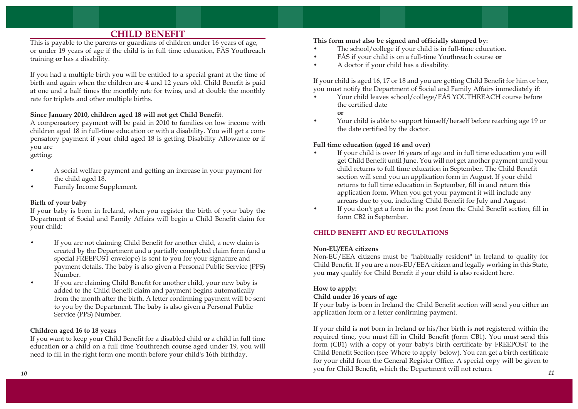# **CHILD BENEFIT**

This is payable to the parents or guardians of children under 16 years of age, or under 19 years of age if the child is in full time education, FÁS Youthreach training **or** has a disability.

If you had a multiple birth you will be entitled to a special grant at the time of birth and again when the children are 4 and 12 years old. Child Benefit is paid at one and a half times the monthly rate for twins, and at double the monthly rate for triplets and other multiple births.

#### **Since January 2010, children aged 18 will not get Child Benefit**.

A compensatory payment will be paid in 2010 to families on low income with children aged 18 in full-time education or with a disability. You will get a compensatory payment if your child aged 18 is getting Disability Allowance **or** if you are

getting:

- • A social welfare payment and getting an increase in your payment for the child aged 18.
- •Family Income Supplement.

## **Birth of your baby**

If your baby is born in Ireland, when you register the birth of your baby the Department of Social and Family Affairs will begin a Child Benefit claim for your child:

- • If you are not claiming Child Benefit for another child, a new claim is created by the Department and a partially completed claim form (and a special FREEPOST envelope) is sent to you for your signature and payment details. The baby is also given a Personal Public Service (PPS) Number.
- • If you are claiming Child Benefit for another child, your new baby is added to the Child Benefit claim and payment begins automatically from the month after the birth. A letter confirming payment will be sent to you by the Department. The baby is also given a Personal Public Service (PPS) Number.

## **Children aged 16 to 18 years**

If you want to keep your Child Benefit for a disabled child **or** a child in full time education **or** a child on a full time Youthreach course aged under 19, you will need to fill in the right form one month before your child's 16th birthday.

#### **This form must also be signed and officially stamped by:**

- •The school/college if your child is in full-time education.
- •FÁS if your child is on a full-time Youthreach course **or**
- •A doctor if your child has a disability.

If your child is aged 16, 17 or 18 and you are getting Child Benefit for him or her, you must notify the Department of Social and Family Affairs immediately if:

 Your child leaves school/college/FÁS YOUTHREACH course before the certified date

#### **or**

•

•

•

• Your child is able to support himself/herself before reaching age 19 or the date certified by the doctor.

#### **Full time education (aged 16 and over)**

- If your child is over 16 years of age and in full time education you will get Child Benefit until June. You will not get another payment until your child returns to full time education in September. The Child Benefit section will send you an application form in August. If your child returns to full time education in September, fill in and return this application form. When you get your payment it will include any arrears due to you, including Child Benefit for July and August.
- If you don't get a form in the post from the Child Benefit section, fill in form CB2 in September.

## **CHILD BENEFIT AND EU REGULATIONS**

## **Non-EU/EEA citizens**

Non-EU/EEA citizens must be "habitually resident" in Ireland to quality for Child Benefit. If you are a non-EU/EEA citizen and legally working in this State, you **may** qualify for Child Benefit if your child is also resident here.

## **How to apply:**

#### **Child under 16 years of age**

If your baby is born in Ireland the Child Benefit section will send you either an application form or a letter confirming payment.

If your child is **not** born in Ireland **or** his/her birth is **not** registered within the required time, you must fill in Child Benefit (form CB1). You must send this form (CB1) with a copy of your baby's birth certificate by FREEPOST to the Child Benefit Section (see 'Where to apply' below). You can get a birth certificate for your child from the General Register Office. A special copy will be given to you for Child Benefit, which the Department will not return. *10 11*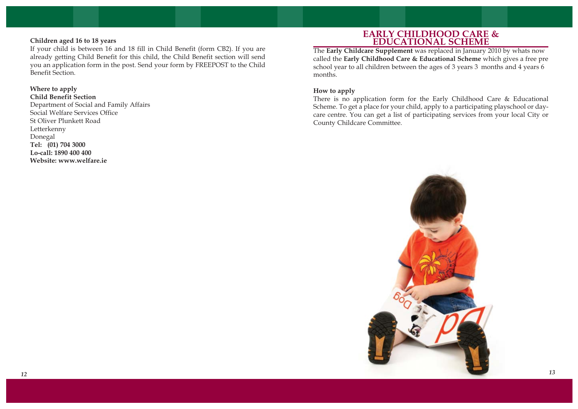## **Children aged 16 to 18 years**

If your child is between 16 and 18 fill in Child Benefit (form CB2). If you are already getting Child Benefit for this child, the Child Benefit section will send you an application form in the post. Send your form by FREEPOST to the Child Benefit Section.

#### **Where to apply**

**Child Benefit Section**  Department of Social and Family Affairs Social Welfare Services Office St Oliver Plunkett Road Letterkenny Donegal **Tel: (01) 704 3000 Lo-call: 1890 400 400 Website: www.welfare.ie**

## **EARLY CHILDHOOD CARE & EDUCATIONAL SCHEME**

The **Early Childcare Supplement** was replaced in January 2010 by whats now called the **Early Childhood Care & Educational Scheme** which gives a free pre school year to all children between the ages of 3 years 3 months and 4 years 6 months.

#### **How to apply**

There is no application form for the Early Childhood Care & Educational Scheme. To get a place for your child, apply to a participating playschool or daycare centre. You can get a list of participating services from your local City or County Childcare Committee.

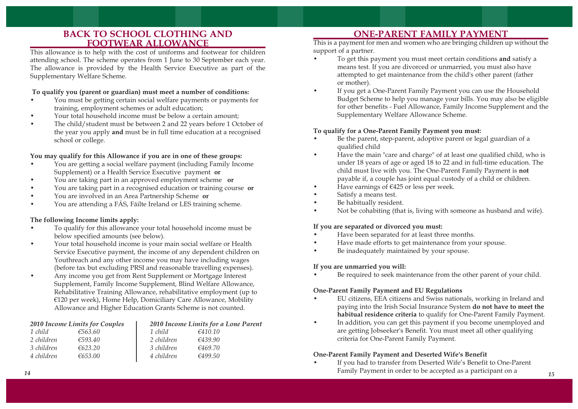# **BACK TO SCHOOL CLOTHING AND FOOTWEAR ALLOWANCE**

This allowance is to help with the cost of uniforms and footwear for children attending school. The scheme operates from 1 June to 30 September each year. The allowance is provided by the Health Service Executive as part of the Supplementary Welfare Scheme.

## **To qualify you (parent or guardian) must meet a number of conditions:**

- • You must be getting certain social welfare payments or payments for training, employment schemes or adult education;
- •Your total household income must be below a certain amount;
- • The child/student must be between 2 and 22 years before 1 October of the year you apply **and** must be in full time education at a recognised school or college.

## **You may qualify for this Allowance if you are in one of these groups:**

- • You are getting a social welfare payment (including Family Income Supplement) or a Health Service Executive payment **or**
- •You are taking part in an approved employment scheme **or**
- •You are taking part in a recognised education or training course **or**
- •You are involved in an Area Partnership Scheme **or**
- •You are attending a FÁS, Fáilte Ireland or LES training scheme.

## **The following Income limits apply:**

- • To qualify for this allowance your total household income must be below specified amounts (see below).
- • Your total household income is your main social welfare or Health Service Executive payment, the income of any dependent children on Youthreach and any other income you may have including wages (before tax but excluding PRSI and reasonable travelling expenses).
- • Any income you get from Rent Supplement or Mortgage Interest Supplement, Family Income Supplement, Blind Welfare Allowance, Rehabilitative Training Allowance, rehabilitative employment (up to €120 per week), Home Help, Domiciliary Care Allowance, Mobility Allowance and Higher Education Grants Scheme is not counted.

| 2010 Income Limits for Couples |         | 2010 Income Limits for a Lone Parent |         |  |
|--------------------------------|---------|--------------------------------------|---------|--|
| 1 child                        | €563.60 | 1 child                              | €410.10 |  |
| 2 children                     | €593.40 | 2 children                           | 6439.90 |  |
| 3 children                     | €623.20 | 3 children                           | €469.70 |  |
| 4 children                     | €653.00 | 4 children                           | 6499.50 |  |

# **ONE-PARENT FAMILY PAYMENT**

This is a payment for men and women who are bringing children up without the support of a partner.

- To get this payment you must meet certain conditions **and** satisfy a means test. If you are divorced or unmarried, you must also have attempted to get maintenance from the child's other parent (father or mother).
- • If you get a One-Parent Family Payment you can use the Household Budget Scheme to help you manage your bills. You may also be eligible for other benefits - Fuel Allowance, Family Income Supplement and the Supplementary Welfare Allowance Scheme.

## **To qualify for a One-Parent Family Payment you must:**

- • Be the parent, step-parent, adoptive parent or legal guardian of a qualified child
- • Have the main "care and charge" of at least one qualified child, who is under 18 years of age or aged 18 to 22 and in full-time education. The child must live with you. The One-Parent Family Payment is **not** payable if, a couple has joint equal custody of a child or children.
- •Have earnings of €425 or less per week.
- •Satisfy a means test.

•

•

- •Be habitually resident.
- •Not be cohabiting (that is, living with someone as husband and wife).

## **If you are separated or divorced you must:**

- •Have been separated for at least three months.
- •Have made efforts to get maintenance from your spouse.
- •Be inadequately maintained by your spouse.

## **If you are unmarried you will:**

•Be required to seek maintenance from the other parent of your child.

## **One-Parent Family Payment and EU Regulations**

- EU citizens, EEA citizens and Swiss nationals, working in Ireland and paying into the Irish Social Insurance System **do not have to meet the habitual residence criteria** to qualify for One-Parent Family Payment.
- • In addition, you can get this payment if you become unemployed and are getting Jobseeker's Benefit. You must meet all other qualifying criteria for One-Parent Family Payment.

## **One-Parent Family Payment and Deserted Wife's Benefit**

• If you had to transfer from Deserted Wife's Benefit to One-Parent Family Payment in order to be accepted as a participant on a *14 15*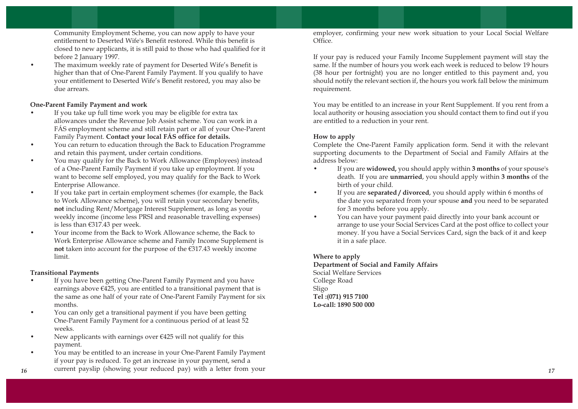Community Employment Scheme, you can now apply to have your entitlement to Deserted Wife's Benefit restored. While this benefit is closed to new applicants, it is still paid to those who had qualified for it before 2 January 1997.

• The maximum weekly rate of payment for Deserted Wife's Benefit is higher than that of One-Parent Family Payment. If you qualify to have your entitlement to Deserted Wife's Benefit restored, you may also be due arrears.

## **One-Parent Family Payment and work**

- • If you take up full time work you may be eligible for extra tax allowances under the Revenue Job Assist scheme. You can work in a FÁS employment scheme and still retain part or all of your One-Parent Family Payment. **Contact your local FÁS office for details.**
- • You can return to education through the Back to Education Programme and retain this payment, under certain conditions.
- • You may qualify for the Back to Work Allowance (Employees) instead of a One-Parent Family Payment if you take up employment. If you want to become self employed, you may qualify for the Back to Work Enterprise Allowance.
- • If you take part in certain employment schemes (for example, the Back to Work Allowance scheme), you will retain your secondary benefits, **not** including Rent/Mortgage Interest Supplement, as long as your weekly income (income less PRSI and reasonable travelling expenses) is less than €317.43 per week.
- • Your income from the Back to Work Allowance scheme, the Back to Work Enterprise Allowance scheme and Family Income Supplement is **not** taken into account for the purpose of the €317.43 weekly income limit.

## **Transitional Payments**

- • If you have been getting One-Parent Family Payment and you have earnings above  $\epsilon$ 425, you are entitled to a transitional payment that is the same as one half of your rate of One-Parent Family Payment for six months.
- • You can only get a transitional payment if you have been getting One-Parent Family Payment for a continuous period of at least 52 weeks.
- • New applicants with earnings over €425 will not qualify for this payment.
- • You may be entitled to an increase in your One-Parent Family Payment if your pay is reduced. To get an increase in your payment, send a
- current payslip (showing your reduced pay) with a letter from your *<sup>16</sup> <sup>17</sup>*

employer, confirming your new work situation to your Local Social Welfare Office.

If your pay is reduced your Family Income Supplement payment will stay the same. If the number of hours you work each week is reduced to below 19 hours (38 hour per fortnight) you are no longer entitled to this payment and, you should notify the relevant section if, the hours you work fall below the minimum requirement.

You may be entitled to an increase in your Rent Supplement. If you rent from a local authority or housing association you should contact them to find out if you are entitled to a reduction in your rent.

# **How to apply**

Complete the One-Parent Family application form. Send it with the relevant supporting documents to the Department of Social and Family Affairs at the address below:

- • If you are **widowed,** you should apply within **3 months** of your spouse's death. If you are **unmarried**, you should apply within **3 months** of the birth of your child.
- • If you are **separated / divorced**, you should apply within 6 months of the date you separated from your spouse **and** you need to be separated for 3 months before you apply.
- • You can have your payment paid directly into your bank account or arrange to use your Social Services Card at the post office to collect your money. If you have a Social Services Card, sign the back of it and keep it in a safe place.

## **Where to apply**

**Department of Social and Family Affairs** Social Welfare Services College Road Sligo **Tel :(071) 915 7100 Lo-call: 1890 500 000**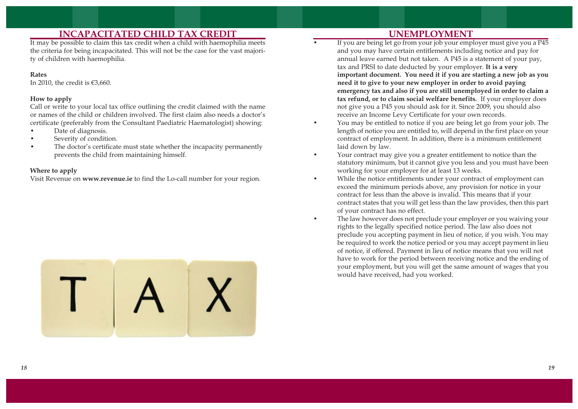# **INCAPACITATED CHILD TAX CREDIT**

It may be possible to claim this tax credit when a child with haemophilia meets the criteria for being incapacitated. This will not be the case for the vast majority of children with haemophilia.

## **Rates**

In 2010, the credit is  $€3,660$ .

## **How to apply**

Call or write to your local tax office outlining the credit claimed with the name or names of the child or children involved. The first claim also needs a doctor's certificate (preferably from the Consultant Paediatric Haematologist) showing:

- •Date of diagnosis.
- •Severity of condition.
- • The doctor's certificate must state whether the incapacity permanently prevents the child from maintaining himself.

## **Where to apply**

Visit Revenue on **www.revenue.ie** to find the Lo-call number for your region.



# **UNEMPLOYMENT**

•

•

- If you are being let go from your job your employer must give you a P45 and you may have certain entitlements including notice and pay for annual leave earned but not taken. A P45 is a statement of your pay, tax and PRSI to date deducted by your employer. **It is a very important document. You need it if you are starting a new job as you need it to give to your new employer in order to avoid paying emergency tax and also if you are still unemployed in order to claim a tax refund, or to claim social welfare benefits.** If your employer does not give you a P45 you should ask for it. Since 2009, you should also receive an Income Levy Certificate for your own records.
- • You may be entitled to notice if you are being let go from your job. The length of notice you are entitled to, will depend in the first place on your contract of employment. In addition, there is a minimum entitlement laid down by law.
- • Your contract may give you a greater entitlement to notice than the statutory minimum, but it cannot give you less and you must have been working for your employer for at least 13 weeks.
- • While the notice entitlements under your contract of employment can exceed the minimum periods above, any provision for notice in your contract for less than the above is invalid. This means that if your contract states that you will get less than the law provides, then this part of your contract has no effect.
	- The law however does not preclude your employer or you waiving your rights to the legally specified notice period. The law also does not preclude you accepting payment in lieu of notice, if you wish. You may be required to work the notice period or you may accept payment in lieu of notice, if offered. Payment in lieu of notice means that you will not have to work for the period between receiving notice and the ending of your employment, but you will get the same amount of wages that you would have received, had you worked.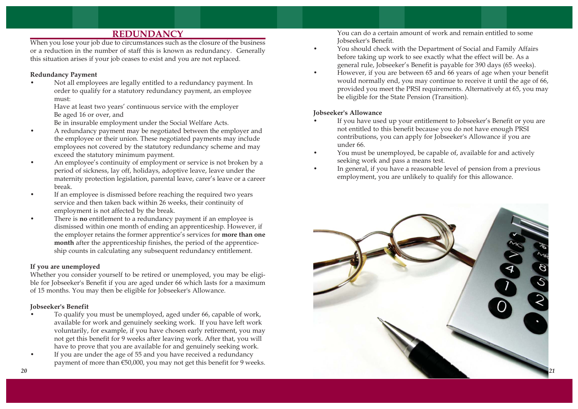# **REDUNDANCY**

When you lose your job due to circumstances such as the closure of the business or a reduction in the number of staff this is known as redundancy. Generally this situation arises if your job ceases to exist and you are not replaced.

## **Redundancy Payment**

• Not all employees are legally entitled to a redundancy payment. In order to qualify for a statutory redundancy payment, an employee must:

Have at least two years' continuous service with the employer Be aged 16 or over, and

Be in insurable employment under the Social Welfare Acts.

- • A redundancy payment may be negotiated between the employer and the employee or their union. These negotiated payments may include employees not covered by the statutory redundancy scheme and may exceed the statutory minimum payment.
- • An employee's continuity of employment or service is not broken by a period of sickness, lay off, holidays, adoptive leave, leave under the maternity protection legislation, parental leave, carer's leave or a career break.
- • If an employee is dismissed before reaching the required two years service and then taken back within 26 weeks, their continuity of employment is not affected by the break.
- • There is **no** entitlement to a redundancy payment if an employee is dismissed within one month of ending an apprenticeship. However, if the employer retains the former apprentice's services for **more than one month** after the apprenticeship finishes, the period of the apprenticeship counts in calculating any subsequent redundancy entitlement.

## **If you are unemployed**

Whether you consider yourself to be retired or unemployed, you may be eligible for Jobseeker's Benefit if you are aged under 66 which lasts for a maximum of 15 months. You may then be eligible for Jobseeker's Allowance.

## **Jobseeker's Benefit**

- • To qualify you must be unemployed, aged under 66, capable of work, available for work and genuinely seeking work. If you have left work voluntarily, for example, if you have chosen early retirement, you may not get this benefit for 9 weeks after leaving work. After that, you will have to prove that you are available for and genuinely seeking work.
- • If you are under the age of 55 and you have received a redundancy payment of more than €50,000, you may not get this benefit for 9 weeks.

You can do a certain amount of work and remain entitled to some Jobseeker's Benefit.

- You should check with the Department of Social and Family Affairs before taking up work to see exactly what the effect will be. As a general rule, Jobseeker's Benefit is payable for 390 days (65 weeks).
- • However, if you are between 65 and 66 years of age when your benefit would normally end, you may continue to receive it until the age of 66, provided you meet the PRSI requirements. Alternatively at 65, you may be eligible for the State Pension (Transition).

## **Jobseeker's Allowance**

•

- • If you have used up your entitlement to Jobseeker's Benefit or you are not entitled to this benefit because you do not have enough PRSI contributions, you can apply for Jobseeker's Allowance if you are under 66.
- • You must be unemployed, be capable of, available for and actively seeking work and pass a means test.
- • In general, if you have a reasonable level of pension from a previous employment, you are unlikely to qualify for this allowance.

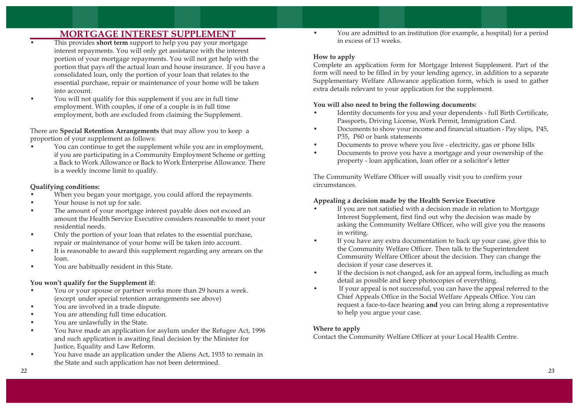# **MORTGAGE INTEREST SUPPLEMENT**

- • This provides **short term** support to help you pay your mortgage interest repayments. You will only get assistance with the interest portion of your mortgage repayments. You will not get help with the portion that pays off the actual loan and house insurance. If you have a consolidated loan, only the portion of your loan that relates to the essential purchase, repair or maintenance of your home will be taken into account.
- • You will not qualify for this supplement if you are in full time employment. With couples, if one of a couple is in full time employment, both are excluded from claiming the Supplement.

There are **Special Retention Arrangements** that may allow you to keep a proportion of your supplement as follows:

• You can continue to get the supplement while you are in employment, if you are participating in a Community Employment Scheme or getting a Back to Work Allowance or Back to Work Enterprise Allowance. There is a weekly income limit to qualify.

## **Qualifying conditions:**

- •When you began your mortgage, you could afford the repayments.
- •Your house is not up for sale.
- • The amount of your mortgage interest payable does not exceed an amount the Health Service Executive considers reasonable to meet your residential needs.
- • Only the portion of your loan that relates to the essential purchase, repair or maintenance of your home will be taken into account.
- • It is reasonable to award this supplement regarding any arrears on the loan.
- •You are habitually resident in this State.

## **You won't qualify for the Supplement if:**

- • You or your spouse or partner works more than 29 hours a week. (except under special retention arrangements see above)
- •You are involved in a trade dispute.
- •You are attending full time education.
- •You are unlawfully in the State.
- • You have made an application for asylum under the Refugee Act, 1996 and such application is awaiting final decision by the Minister for Justice, Equality and Law Reform.
- • You have made an application under the Aliens Act, 1935 to remain in the State and such application has not been determined.

 You are admitted to an institution (for example, a hospital) for a period in excess of 13 weeks.

#### **How to apply**

•

Complete an application form for Mortgage Interest Supplement. Part of the form will need to be filled in by your lending agency, in addition to a separate Supplementary Welfare Allowance application form, which is used to gather extra details relevant to your application for the supplement.

## **You will also need to bring the following documents:**

- • Identity documents for you and your dependents - full Birth Certificate, Passports, Driving License, Work Permit, Immigration Card.
- • Documents to show your income and financial situation - Pay slips, P45, P35, P60 or bank statements
- •Documents to prove where you live - electricity, gas or phone bills
- • Documents to prove you have a mortgage and your ownership of the property - loan application, loan offer or a solicitor's letter

The Community Welfare Officer will usually visit you to confirm your circumstances.

## **Appealing a decision made by the Health Service Executive**

- • If you are not satisfied with a decision made in relation to Mortgage Interest Supplement, first find out why the decision was made by asking the Community Welfare Officer, who will give you the reasons in writing.
- • If you have any extra documentation to back up your case, give this to the Community Welfare Officer. Then talk to the Superintendent Community Welfare Officer about the decision. They can change the decision if your case deserves it.
- • If the decision is not changed, ask for an appeal form, including as much detail as possible and keep photocopies of everything.
- • If your appeal is not successful, you can have the appeal referred to the Chief Appeals Office in the Social Welfare Appeals Office. You can request a face-to-face hearing **and** you can bring along a representative to help you argue your case.

## **Where to apply**

Contact the Community Welfare Officer at your Local Health Centre.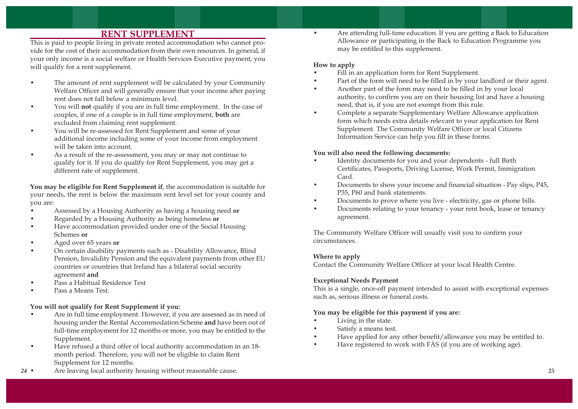# **RENT SUPPLEMENT**

This is paid to people living in private rented accommodation who cannot provide for the cost of their accommodation from their own resources. In general, if your only income is a social welfare or Health Services Executive payment, you will qualify for a rent supplement.

- • The amount of rent supplement will be calculated by your Community Welfare Officer and will generally ensure that your income after paying rent does not fall below a minimum level.
- • You will **not** qualify if you are in full time employment. In the case of couples, if one of a couple is in full time employment, **both** are excluded from claiming rent supplement.
- • You will be re-assessed for Rent Supplement and some of your additional income including some of your income from employment will be taken into account.
- • As a result of the re-assessment, you may or may not continue to qualify for it. If you do qualify for Rent Supplement, you may get a different rate of supplement.

**You may be eligible for Rent Supplement if**, the accommodation is suitable for your needs, the rent is below the maximum rent level set for your county and you are:

- •Assessed by a Housing Authority as having a housing need **or**
- •Regarded by a Housing Authority as being homeless **or**
- • Have accommodation provided under one of the Social Housing Schemes **or**
- •Aged over 65 years **or**
- • On certain disability payments such as - Disability Allowance, Blind Pension, Invalidity Pension and the equivalent payments from other EU countries or countries that Ireland has a bilateral social security agreement **and**
- •Pass a Habitual Residence Test
- •Pass a Means Test.

## **You will not qualify for Rent Supplement if you:**

- • Are in full time employment. However, if you are assessed as in need of housing under the Rental Accommodation Scheme **and** have been out of full-time employment for 12 months or more, you may be entitled to the Supplement.
- • Have refused a third offer of local authority accommodation in an 18 month period. Therefore, you will not be eligible to claim Rent Supplement for 12 months.
- *<sup>24</sup>* Are leaving local authority housing without reasonable cause. *<sup>25</sup>*

 Are attending full-time education. If you are getting a Back to Education Allowance or participating in the Back to Education Programme you may be entitled to this supplement.

#### **How to apply**

•

- •Fill in an application form for Rent Supplement.
- •Part of the form will need to be filled in by your landlord or their agent.
- • Another part of the form may need to be filled in by your local authority, to confirm you are on their housing list and have a housing need, that is, if you are not exempt from this rule.
- • Complete a separate Supplementary Welfare Allowance application form which needs extra details relevant to your application for Rent Supplement. The Community Welfare Officer or local Citizens Information Service can help you fill in these forms.

#### **You will also need the following documents:**

- • Identity documents for you and your dependents - full Birth Certificates, Passports, Driving License, Work Permit, Immigration Card.
- • Documents to show your income and financial situation - Pay slips, P45, P35, P60 and bank statements.
- •Documents to prove where you live - electricity, gas or phone bills.
- • Documents relating to your tenancy - your rent book, lease or tenancy agreement.

The Community Welfare Officer will usually visit you to confirm your circumstances.

## **Where to apply**

Contact the Community Welfare Officer at your local Health Centre.

## **Exceptional Needs Payment**

This is a single, once-off payment intended to assist with exceptional expenses such as, serious illness or funeral costs.

## **You may be eligible for this payment if you are:**

- •Living in the state.
- •Satisfy a means test.
- •Have applied for any other benefit/allowance you may be entitled to.
- •Have registered to work with FÁS (if you are of working age).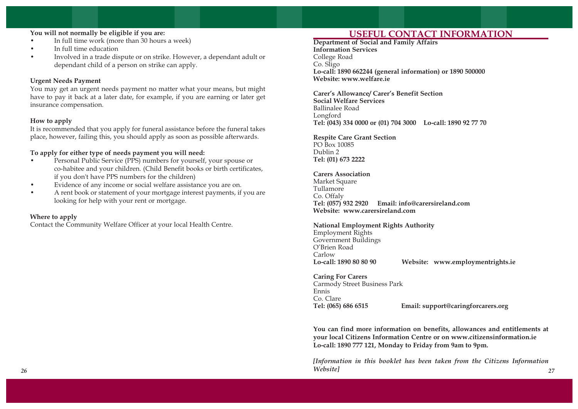# **You will not normally be eligible if you are:**

- •In full time work (more than 30 hours a week)
- •In full time education
- • Involved in a trade dispute or on strike. However, a dependant adult or dependant child of a person on strike can apply.

#### **Urgent Needs Payment**

You may get an urgent needs payment no matter what your means, but might have to pay it back at a later date, for example, if you are earning or later get insurance compensation.

#### **How to apply**

It is recommended that you apply for funeral assistance before the funeral takes place, however, failing this, you should apply as soon as possible afterwards.

#### **To apply for either type of needs payment you will need:**

- • Personal Public Service (PPS) numbers for yourself, your spouse or co-habitee and your children. (Child Benefit books or birth certificates, if you don't have PPS numbers for the children)
- •Evidence of any income or social welfare assistance you are on.
- • A rent book or statement of your mortgage interest payments, if you are looking for help with your rent or mortgage.

#### **Where to apply**

Contact the Community Welfare Officer at your local Health Centre.

# **USEFUL CONTACT INFORMATION**

**Department of Social and Family Affairs Information Services**  College Road Co. Sligo **Lo-call: 1890 662244 (general information) or 1890 500000 Website: www.welfare.ie**

**Carer's Allowance/ Carer's Benefit Section Social Welfare Services** Ballinalee Road Longford **Tel: (043) 334 0000 or (01) 704 3000 Lo-call: 1890 92 77 70**

#### **Respite Care Grant Section** PO Box 10085 Dublin 2

**Tel: (01) 673 2222**

#### **Carers Association**

Market Square Tullamore Co. Offaly **Tel: (057) 932 2920 Email: info@carersireland.com Website: www.carersireland.com**

#### **National Employment Rights Authority**

Employment Rights Government Buildings O'Brien Road Carlow **Lo-call: 1890 80 80 90 Website: www.employmentrights.ie**

**Caring For Carers** Carmody Street Business Park Ennis Co. Clare **Tel: (065) 686 6515 Email: support@caringforcarers.org**

**You can find more information on benefits, allowances and entitlements at your local Citizens Information Centre or on www.citizensinformation.ie Lo-call: 1890 777 121, Monday to Friday from 9am to 9pm.**

*[Information in this booklet has been taken from the Citizens Information Website] 26 27*